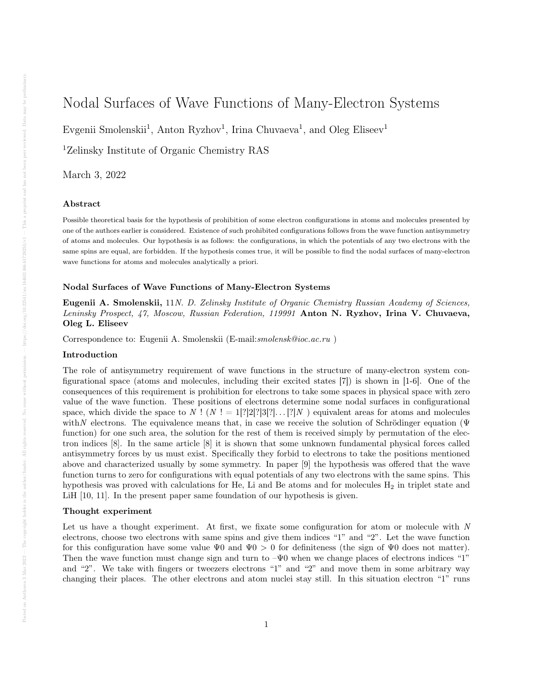# Nodal Surfaces of Wave Functions of Many-Electron Systems

Evgenii Smolenskii<sup>1</sup>, Anton Ryzhov<sup>1</sup>, Irina Chuvaeva<sup>1</sup>, and Oleg Eliseev<sup>1</sup>

<sup>1</sup>Zelinsky Institute of Organic Chemistry RAS

March 3, 2022

#### Abstract

Possible theoretical basis for the hypothesis of prohibition of some electron configurations in atoms and molecules presented by one of the authors earlier is considered. Existence of such prohibited configurations follows from the wave function antisymmetry of atoms and molecules. Our hypothesis is as follows: the configurations, in which the potentials of any two electrons with the same spins are equal, are forbidden. If the hypothesis comes true, it will be possible to find the nodal surfaces of many-electron wave functions for atoms and molecules analytically a priori.

## Nodal Surfaces of Wave Functions of Many-Electron Systems

Eugenii A. Smolenskii, 11N. D. Zelinsky Institute of Organic Chemistry Russian Academy of Sciences, Leninsky Prospect, 47, Moscow, Russian Federation, 119991 Anton N. Ryzhov, Irina V. Chuvaeva, Oleg L. Eliseev

Correspondence to: Eugenii A. Smolenskii (E-mail: smolensk@ioc.ac.ru)

## Introduction

The role of antisymmetry requirement of wave functions in the structure of many-electron system configurational space (atoms and molecules, including their excited states [7]) is shown in [1-6]. One of the consequences of this requirement is prohibition for electrons to take some spaces in physical space with zero value of the wave function. These positions of electrons determine some nodal surfaces in configurational space, which divide the space to N ! (N ! = 1[?|2|?|3|?|...[?|N ) equivalent areas for atoms and molecules with N electrons. The equivalence means that, in case we receive the solution of Schrödinger equation ( $\Psi$ function) for one such area, the solution for the rest of them is received simply by permutation of the electron indices [8]. In the same article [8] it is shown that some unknown fundamental physical forces called antisymmetry forces by us must exist. Specifically they forbid to electrons to take the positions mentioned above and characterized usually by some symmetry. In paper [9] the hypothesis was offered that the wave function turns to zero for configurations with equal potentials of any two electrons with the same spins. This hypothesis was proved with calculations for He, Li and Be atoms and for molecules  $H_2$  in triplet state and LiH [10, 11]. In the present paper same foundation of our hypothesis is given.

## Thought experiment

Let us have a thought experiment. At first, we fixate some configuration for atom or molecule with N electrons, choose two electrons with same spins and give them indices "1" and "2". Let the wave function for this configuration have some value  $\Psi 0$  and  $\Psi 0 > 0$  for definiteness (the sign of  $\Psi 0$  does not matter). Then the wave function must change sign and turn to  $-\Psi 0$  when we change places of electrons indices "1" and "2". We take with fingers or tweezers electrons "1" and "2" and move them in some arbitrary way changing their places. The other electrons and atom nuclei stay still. In this situation electron "1" runs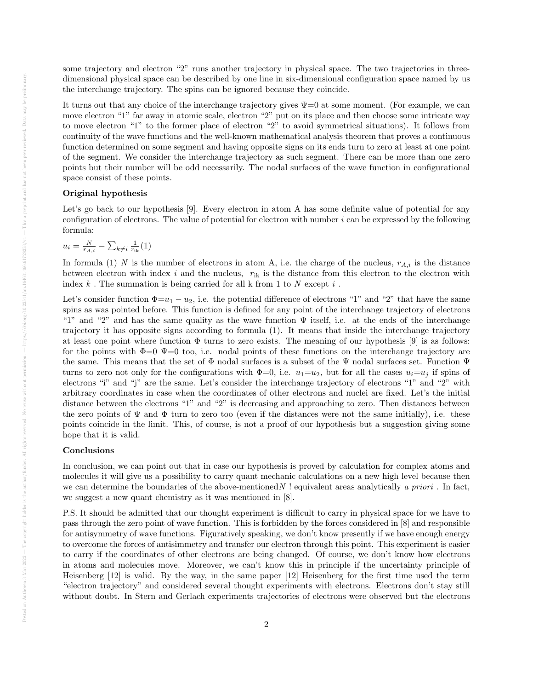some trajectory and electron "2" runs another trajectory in physical space. The two trajectories in threedimensional physical space can be described by one line in six-dimensional configuration space named by us the interchange trajectory. The spins can be ignored because they coincide.

It turns out that any choice of the interchange trajectory gives  $\Psi=0$  at some moment. (For example, we can move electron "1" far away in atomic scale, electron "2" put on its place and then choose some intricate way to move electron "1" to the former place of electron "2" to avoid symmetrical situations). It follows from continuity of the wave functions and the well-known mathematical analysis theorem that proves a continuous function determined on some segment and having opposite signs on its ends turn to zero at least at one point of the segment. We consider the interchange trajectory as such segment. There can be more than one zero points but their number will be odd necessarily. The nodal surfaces of the wave function in configurational space consist of these points.

## Original hypothesis

Let's go back to our hypothesis [9]. Every electron in atom A has some definite value of potential for any configuration of electrons. The value of potential for electron with number  $i$  can be expressed by the following formula:

$$
u_i = \frac{N}{r_{A,i}} - \sum_{k \neq i} \frac{1}{r_{ik}}(1)
$$

In formula (1) N is the number of electrons in atom A, i.e. the charge of the nucleus,  $r_{A,i}$  is the distance between electron with index  $i$  and the nucleus,  $r_{ik}$  is the distance from this electron to the electron with index  $k$ . The summation is being carried for all k from 1 to  $N$  except  $i$ .

Let's consider function  $\Phi=u_1-u_2$ , i.e. the potential difference of electrons "1" and "2" that have the same spins as was pointed before. This function is defined for any point of the interchange trajectory of electrons "1" and "2" and has the same quality as the wave function  $\Psi$  itself, i.e. at the ends of the interchange trajectory it has opposite signs according to formula (1). It means that inside the interchange trajectory at least one point where function  $\Phi$  turns to zero exists. The meaning of our hypothesis [9] is as follows: for the points with  $\Phi=0$   $\Psi=0$  too, i.e. nodal points of these functions on the interchange trajectory are the same. This means that the set of  $\Phi$  nodal surfaces is a subset of the  $\Psi$  nodal surfaces set. Function  $\Psi$ turns to zero not only for the configurations with  $\Phi=0$ , i.e.  $u_1=u_2$ , but for all the cases  $u_i=u_j$  if spins of electrons "i" and "j" are the same. Let's consider the interchange trajectory of electrons "1" and "2" with arbitrary coordinates in case when the coordinates of other electrons and nuclei are fixed. Let's the initial distance between the electrons "1" and "2" is decreasing and approaching to zero. Then distances between the zero points of  $\Psi$  and  $\Phi$  turn to zero too (even if the distances were not the same initially), i.e. these points coincide in the limit. This, of course, is not a proof of our hypothesis but a suggestion giving some hope that it is valid.

## Conclusions

In conclusion, we can point out that in case our hypothesis is proved by calculation for complex atoms and molecules it will give us a possibility to carry quant mechanic calculations on a new high level because then we can determine the boundaries of the above-mentioned  $N$ ! equivalent areas analytically a priori. In fact, we suggest a new quant chemistry as it was mentioned in [8].

P.S. It should be admitted that our thought experiment is difficult to carry in physical space for we have to pass through the zero point of wave function. This is forbidden by the forces considered in [8] and responsible for antisymmetry of wave functions. Figuratively speaking, we don't know presently if we have enough energy to overcome the forces of antisimmetry and transfer our electron through this point. This experiment is easier to carry if the coordinates of other electrons are being changed. Of course, we don't know how electrons in atoms and molecules move. Moreover, we can't know this in principle if the uncertainty principle of Heisenberg [12] is valid. By the way, in the same paper [12] Heisenberg for the first time used the term "electron trajectory" and considered several thought experiments with electrons. Electrons don't stay still without doubt. In Stern and Gerlach experiments trajectories of electrons were observed but the electrons